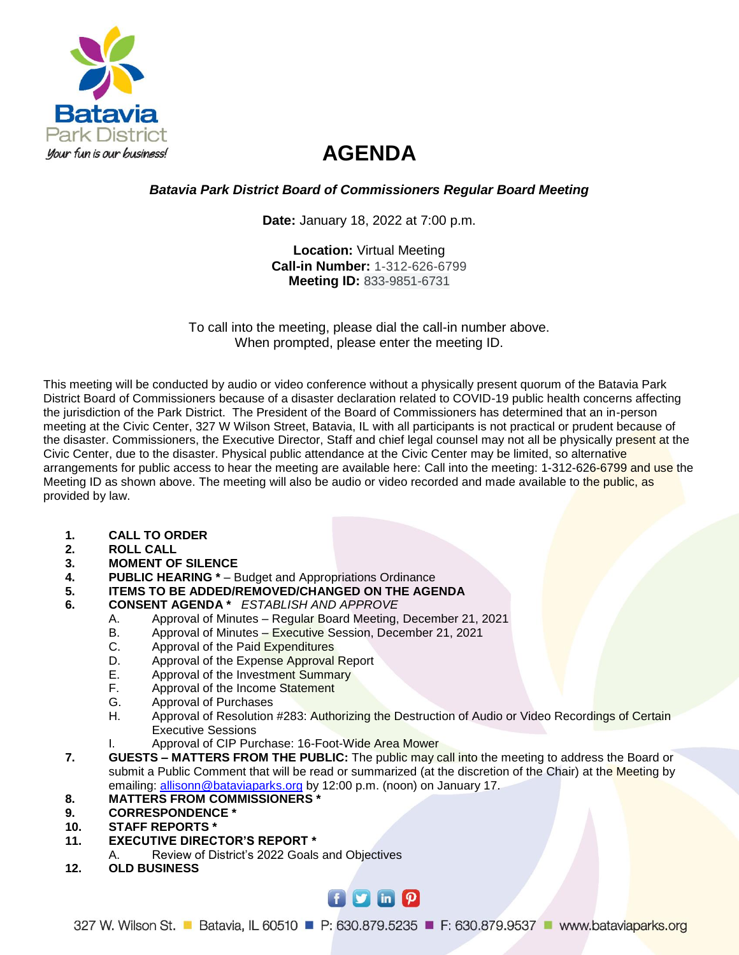

# **AGENDA**

## *Batavia Park District Board of Commissioners Regular Board Meeting*

**Date:** January 18, 2022 at 7:00 p.m.

**Location:** Virtual Meeting **Call-in Number:** 1-312-626-6799 **Meeting ID:** 833-9851-6731

To call into the meeting, please dial the call-in number above. When prompted, please enter the meeting ID.

This meeting will be conducted by audio or video conference without a physically present quorum of the Batavia Park District Board of Commissioners because of a disaster declaration related to COVID-19 public health concerns affecting the jurisdiction of the Park District. The President of the Board of Commissioners has determined that an in-person meeting at the Civic Center, 327 W Wilson Street, Batavia, IL with all participants is not practical or prudent because of the disaster. Commissioners, the Executive Director, Staff and chief legal counsel may not all be physically present at the Civic Center, due to the disaster. Physical public attendance at the Civic Center may be limited, so alternative arrangements for public access to hear the meeting are available here: Call into the meeting: 1-312-626-6799 and use the Meeting ID as shown above. The meeting will also be audio or video recorded and made available to the public, as provided by law.

- **1. CALL TO ORDER**
- **2. ROLL CALL**
- **3. MOMENT OF SILENCE**
- **4. PUBLIC HEARING**  $*$  Budget and Appropriations Ordinance<br>5. **ITEMS TO BE ADDED/REMOVED/CHANGED ON THE AGE** 
	- **5. ITEMS TO BE ADDED/REMOVED/CHANGED ON THE AGENDA**
- **6. CONSENT AGENDA \*** *ESTABLISH AND APPROVE*
	- A. Approval of Minutes Regular Board Meeting, December 21, 2021
	- B. Approval of Minutes Executive Session, December 21, 2021
	- C. Approval of the Paid Expenditures
	- D. Approval of the Expense Approval Report
	- E. Approval of the Investment Summary
	- F. Approval of the Income Statement
	- G. Approval of Purchases<br>H. Approval of Resolution
	- Approval of Resolution #283: Authorizing the Destruction of Audio or Video Recordings of Certain Executive Sessions
	- I. Approval of CIP Purchase: 16-Foot-Wide Area Mower
- **7. GUESTS – MATTERS FROM THE PUBLIC:** The public may call into the meeting to address the Board or submit a Public Comment that will be read or summarized (at the discretion of the Chair) at the Meeting by emailing: [allisonn@bataviaparks.org](mailto:allisonn@bataviaparks.org) by 12:00 p.m. (noon) on January 17.

#### **8. MATTERS FROM COMMISSIONERS \***

- **9. CORRESPONDENCE \***
- **10. STAFF REPORTS \***
- **11. EXECUTIVE DIRECTOR'S REPORT \***
	- A. Review of District's 2022 Goals and Objectives
- **12. OLD BUSINESS**